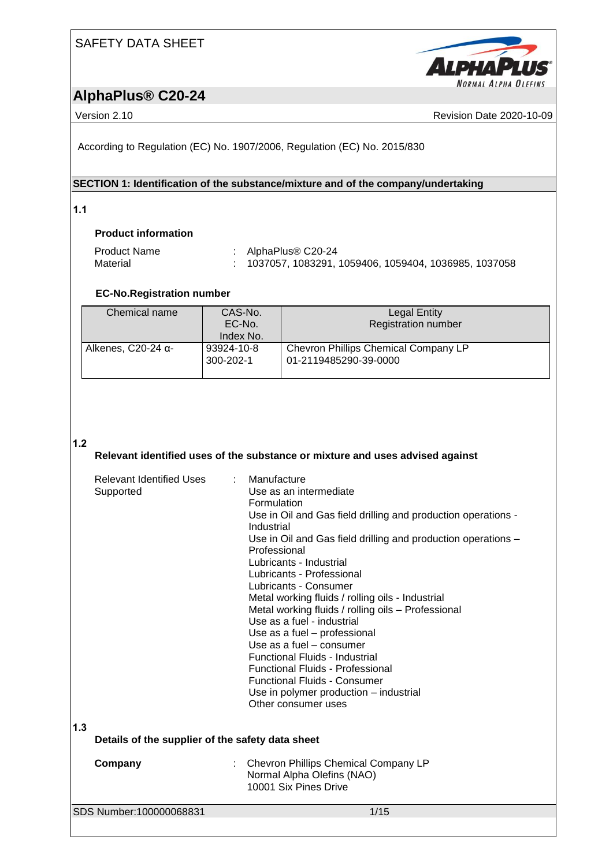

# **AlphaPlus® C20-24**

Version 2.10 **Newsight 2020-10-09** Revision Date 2020-10-09

According to Regulation (EC) No. 1907/2006, Regulation (EC) No. 2015/830

#### **SECTION 1: Identification of the substance/mixture and of the company/undertaking**

**1.1** 

#### **Product information**

| Product Name | : AlphaPlus <sup>®</sup> C20-24                             |
|--------------|-------------------------------------------------------------|
| Material     | .      1037057, 1083291, 1059406, 1059404, 1036985, 1037058 |

### **EC-No.Registration number**

| Chemical name              | CAS-No.<br>EC-No.<br>Index No. | Legal Entity<br><b>Registration number</b>                    |
|----------------------------|--------------------------------|---------------------------------------------------------------|
| Alkenes, C20-24 $\alpha$ - | 93924-10-8<br>300-202-1        | Chevron Phillips Chemical Company LP<br>01-2119485290-39-0000 |

#### **1.2**

#### **Relevant identified uses of the substance or mixture and uses advised against**

|     | Relevant Identified Uses<br>Supported            | : Manufacture<br>Use as an intermediate<br>Formulation<br>Use in Oil and Gas field drilling and production operations -<br>Industrial<br>Use in Oil and Gas field drilling and production operations -<br>Professional<br>Lubricants - Industrial<br>Lubricants - Professional<br>Lubricants - Consumer<br>Metal working fluids / rolling oils - Industrial<br>Metal working fluids / rolling oils - Professional<br>Use as a fuel - industrial<br>Use as a fuel - professional<br>Use as a fuel - consumer<br>Functional Fluids - Industrial<br><b>Functional Fluids - Professional</b><br><b>Functional Fluids - Consumer</b><br>Use in polymer production - industrial<br>Other consumer uses |
|-----|--------------------------------------------------|--------------------------------------------------------------------------------------------------------------------------------------------------------------------------------------------------------------------------------------------------------------------------------------------------------------------------------------------------------------------------------------------------------------------------------------------------------------------------------------------------------------------------------------------------------------------------------------------------------------------------------------------------------------------------------------------------|
| 1.3 | Details of the supplier of the safety data sheet |                                                                                                                                                                                                                                                                                                                                                                                                                                                                                                                                                                                                                                                                                                  |
|     | Company                                          | Chevron Phillips Chemical Company LP<br>Normal Alpha Olefins (NAO)<br>10001 Six Pines Drive                                                                                                                                                                                                                                                                                                                                                                                                                                                                                                                                                                                                      |
|     | SDS Number:100000068831                          | 1/15                                                                                                                                                                                                                                                                                                                                                                                                                                                                                                                                                                                                                                                                                             |
|     |                                                  |                                                                                                                                                                                                                                                                                                                                                                                                                                                                                                                                                                                                                                                                                                  |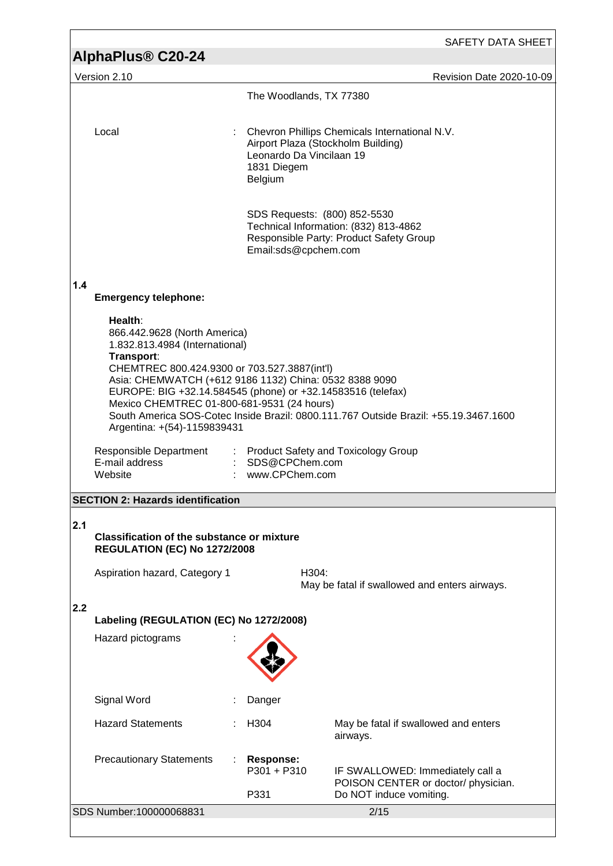|     |                                                                                                                                                                                                                                                                                                                                               |                                                                                          | SAFETY DATA SHEET                                                                                  |  |
|-----|-----------------------------------------------------------------------------------------------------------------------------------------------------------------------------------------------------------------------------------------------------------------------------------------------------------------------------------------------|------------------------------------------------------------------------------------------|----------------------------------------------------------------------------------------------------|--|
|     | AlphaPlus <sup>®</sup> C20-24                                                                                                                                                                                                                                                                                                                 |                                                                                          |                                                                                                    |  |
|     | Version 2.10                                                                                                                                                                                                                                                                                                                                  | The Woodlands, TX 77380                                                                  | <b>Revision Date 2020-10-09</b>                                                                    |  |
|     |                                                                                                                                                                                                                                                                                                                                               |                                                                                          |                                                                                                    |  |
|     | Local                                                                                                                                                                                                                                                                                                                                         | Airport Plaza (Stockholm Building)<br>Leonardo Da Vincilaan 19<br>1831 Diegem<br>Belgium | Chevron Phillips Chemicals International N.V.                                                      |  |
|     |                                                                                                                                                                                                                                                                                                                                               | SDS Requests: (800) 852-5530<br>Email:sds@cpchem.com                                     | Technical Information: (832) 813-4862<br>Responsible Party: Product Safety Group                   |  |
| 1.4 | <b>Emergency telephone:</b>                                                                                                                                                                                                                                                                                                                   |                                                                                          |                                                                                                    |  |
|     | Health:<br>866.442.9628 (North America)<br>1.832.813.4984 (International)<br>Transport:<br>CHEMTREC 800.424.9300 or 703.527.3887(int'l)<br>Asia: CHEMWATCH (+612 9186 1132) China: 0532 8388 9090<br>EUROPE: BIG +32.14.584545 (phone) or +32.14583516 (telefax)<br>Mexico CHEMTREC 01-800-681-9531 (24 hours)<br>Argentina: +(54)-1159839431 |                                                                                          | South America SOS-Cotec Inside Brazil: 0800.111.767 Outside Brazil: +55.19.3467.1600               |  |
|     | Responsible Department<br>E-mail address<br>Website                                                                                                                                                                                                                                                                                           | : SDS@CPChem.com<br>www.CPChem.com                                                       | : Product Safety and Toxicology Group                                                              |  |
|     | <b>SECTION 2: Hazards identification</b>                                                                                                                                                                                                                                                                                                      |                                                                                          |                                                                                                    |  |
| 2.1 | <b>Classification of the substance or mixture</b><br><b>REGULATION (EC) No 1272/2008</b>                                                                                                                                                                                                                                                      |                                                                                          |                                                                                                    |  |
|     | Aspiration hazard, Category 1                                                                                                                                                                                                                                                                                                                 | H304:                                                                                    | May be fatal if swallowed and enters airways.                                                      |  |
| 2.2 | Labeling (REGULATION (EC) No 1272/2008)                                                                                                                                                                                                                                                                                                       |                                                                                          |                                                                                                    |  |
|     | Hazard pictograms                                                                                                                                                                                                                                                                                                                             |                                                                                          |                                                                                                    |  |
|     | Signal Word                                                                                                                                                                                                                                                                                                                                   | Danger                                                                                   |                                                                                                    |  |
|     | <b>Hazard Statements</b>                                                                                                                                                                                                                                                                                                                      | H304                                                                                     | May be fatal if swallowed and enters<br>airways.                                                   |  |
|     | <b>Precautionary Statements</b>                                                                                                                                                                                                                                                                                                               | <b>Response:</b><br>P301 + P310<br>P331                                                  | IF SWALLOWED: Immediately call a<br>POISON CENTER or doctor/ physician.<br>Do NOT induce vomiting. |  |
|     | SDS Number:100000068831                                                                                                                                                                                                                                                                                                                       |                                                                                          | 2/15                                                                                               |  |
|     |                                                                                                                                                                                                                                                                                                                                               |                                                                                          |                                                                                                    |  |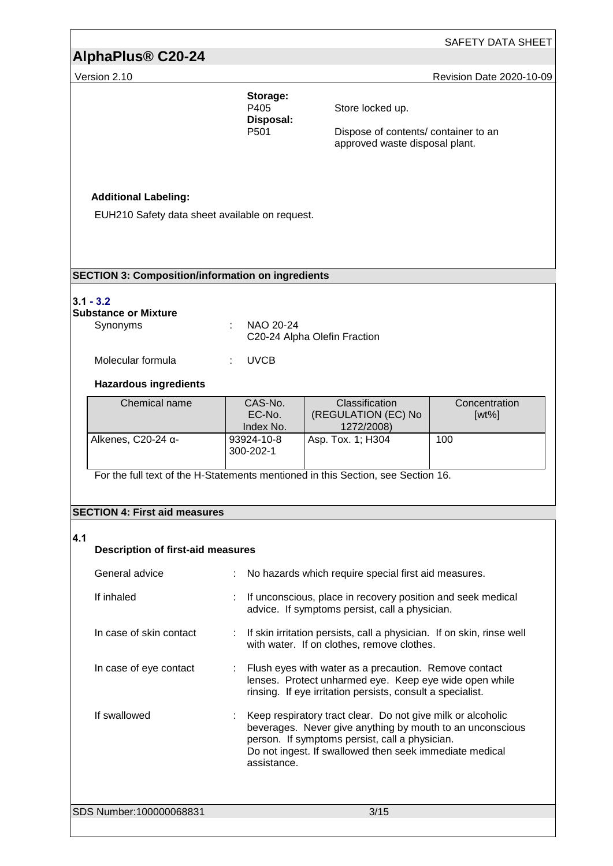# **AlphaPlus® C20-24**

Version 2.10 **Version 2.10** Revision Date 2020-10-09

| Storage:<br>P405  |  |
|-------------------|--|
| Disposal:<br>P501 |  |

Store locked up.

Dispose of contents/ container to an approved waste disposal plant.

#### **Additional Labeling:**

EUH210 Safety data sheet available on request.

#### **SECTION 3: Composition/information on ingredients**

#### **3.1 - 3.2**

### **Substance or Mixture**

| Synonyms          | $\therefore$ NAO 20-24<br>C20-24 Alpha Olefin Fraction |
|-------------------|--------------------------------------------------------|
| Molecular formula | : UVCB                                                 |

#### **Hazardous ingredients**

| Chemical name                | CAS-No.<br>EC-No.<br>Index No. | <b>Classification</b><br>(REGULATION (EC) No<br>1272/2008) | Concentration<br>$[wt\%]$ |
|------------------------------|--------------------------------|------------------------------------------------------------|---------------------------|
| Alkenes, $C20-24$ $\alpha$ - | 93924-10-8<br>300-202-1        | Asp. Tox. 1; H304                                          | 100                       |

For the full text of the H-Statements mentioned in this Section, see Section 16.

#### **SECTION 4: First aid measures**

#### **4.1 Description of first-aid measures**

| General advice          | No hazards which require special first aid measures.                                                                                                                                                                                                   |
|-------------------------|--------------------------------------------------------------------------------------------------------------------------------------------------------------------------------------------------------------------------------------------------------|
| If inhaled              | If unconscious, place in recovery position and seek medical<br>advice. If symptoms persist, call a physician.                                                                                                                                          |
| In case of skin contact | : If skin irritation persists, call a physician. If on skin, rinse well<br>with water. If on clothes, remove clothes.                                                                                                                                  |
| In case of eye contact  | : Flush eyes with water as a precaution. Remove contact<br>lenses. Protect unharmed eye. Keep eye wide open while<br>rinsing. If eye irritation persists, consult a specialist.                                                                        |
| If swallowed            | : Keep respiratory tract clear. Do not give milk or alcoholic<br>beverages. Never give anything by mouth to an unconscious<br>person. If symptoms persist, call a physician.<br>Do not ingest. If swallowed then seek immediate medical<br>assistance. |
| SDS Number:100000068831 | 3/15                                                                                                                                                                                                                                                   |
|                         |                                                                                                                                                                                                                                                        |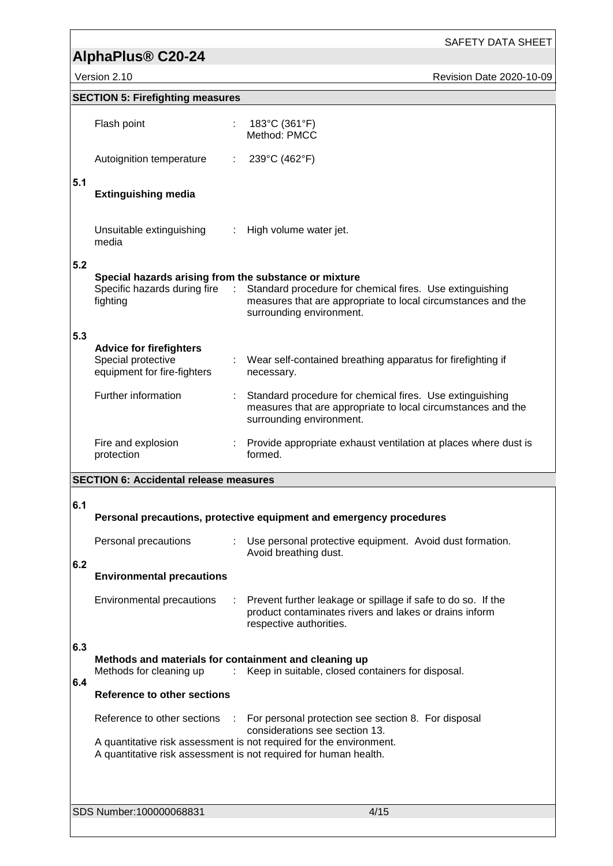# **AlphaPlus® C20-24**

SAFETY DATA SHEET

Version 2.10 **Revision Date 2020-10-09** 

|     | <b>SECTION 5: Firefighting measures</b>                                             |   |                                                                                                                                                                                     |
|-----|-------------------------------------------------------------------------------------|---|-------------------------------------------------------------------------------------------------------------------------------------------------------------------------------------|
|     | Flash point                                                                         |   | 183°C (361°F)<br>Method: PMCC                                                                                                                                                       |
|     | Autoignition temperature                                                            |   | 239°C (462°F)                                                                                                                                                                       |
| 5.1 | <b>Extinguishing media</b>                                                          |   |                                                                                                                                                                                     |
|     | Unsuitable extinguishing<br>media                                                   |   | : High volume water jet.                                                                                                                                                            |
| 5.2 | Special hazards arising from the substance or mixture<br>fighting                   |   | Specific hazards during fire : Standard procedure for chemical fires. Use extinguishing<br>measures that are appropriate to local circumstances and the<br>surrounding environment. |
| 5.3 | <b>Advice for firefighters</b><br>Special protective<br>equipment for fire-fighters |   | Wear self-contained breathing apparatus for firefighting if<br>necessary.                                                                                                           |
|     | Further information                                                                 |   | Standard procedure for chemical fires. Use extinguishing<br>measures that are appropriate to local circumstances and the<br>surrounding environment.                                |
|     | Fire and explosion<br>protection                                                    |   | Provide appropriate exhaust ventilation at places where dust is<br>formed.                                                                                                          |
|     | <b>SECTION 6: Accidental release measures</b>                                       |   |                                                                                                                                                                                     |
| 6.1 |                                                                                     |   | Personal precautions, protective equipment and emergency procedures                                                                                                                 |
|     | Personal precautions                                                                |   | Use personal protective equipment. Avoid dust formation.<br>Avoid breathing dust.                                                                                                   |
| 6.2 | <b>Environmental precautions</b>                                                    |   |                                                                                                                                                                                     |
|     | <b>Environmental precautions</b>                                                    | ÷ | Prevent further leakage or spillage if safe to do so. If the<br>product contaminates rivers and lakes or drains inform<br>respective authorities.                                   |
| 6.3 |                                                                                     |   |                                                                                                                                                                                     |
|     | Methods and materials for containment and cleaning up<br>Methods for cleaning up    |   | Keep in suitable, closed containers for disposal.                                                                                                                                   |
| 6.4 | <b>Reference to other sections</b>                                                  |   |                                                                                                                                                                                     |
|     | Reference to other sections                                                         |   | For personal protection see section 8. For disposal<br>considerations see section 13.                                                                                               |
|     |                                                                                     |   | A quantitative risk assessment is not required for the environment.<br>A quantitative risk assessment is not required for human health.                                             |
|     |                                                                                     |   |                                                                                                                                                                                     |
|     | SDS Number:100000068831                                                             |   | 4/15                                                                                                                                                                                |
|     |                                                                                     |   |                                                                                                                                                                                     |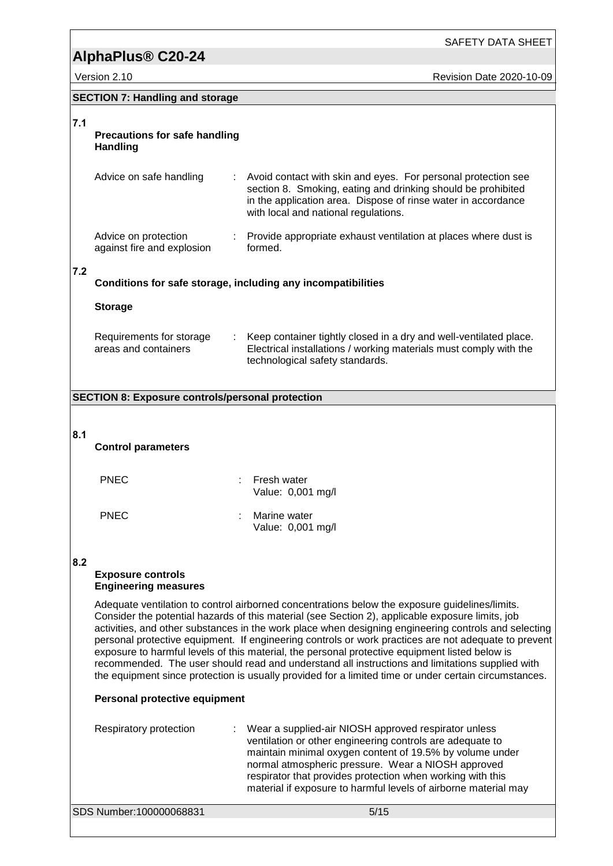|     |                                                         | SAFETY DATA SHEET                                                                                                                                                                                                                                                                                                                                                                                                                                                                                                                                                                                                                                                                                                                |
|-----|---------------------------------------------------------|----------------------------------------------------------------------------------------------------------------------------------------------------------------------------------------------------------------------------------------------------------------------------------------------------------------------------------------------------------------------------------------------------------------------------------------------------------------------------------------------------------------------------------------------------------------------------------------------------------------------------------------------------------------------------------------------------------------------------------|
|     | AlphaPlus <sup>®</sup> C20-24                           |                                                                                                                                                                                                                                                                                                                                                                                                                                                                                                                                                                                                                                                                                                                                  |
|     | Version 2.10                                            | <b>Revision Date 2020-10-09</b>                                                                                                                                                                                                                                                                                                                                                                                                                                                                                                                                                                                                                                                                                                  |
|     | <b>SECTION 7: Handling and storage</b>                  |                                                                                                                                                                                                                                                                                                                                                                                                                                                                                                                                                                                                                                                                                                                                  |
| 7.1 |                                                         |                                                                                                                                                                                                                                                                                                                                                                                                                                                                                                                                                                                                                                                                                                                                  |
|     | <b>Precautions for safe handling</b><br><b>Handling</b> |                                                                                                                                                                                                                                                                                                                                                                                                                                                                                                                                                                                                                                                                                                                                  |
|     | Advice on safe handling                                 | Avoid contact with skin and eyes. For personal protection see<br>section 8. Smoking, eating and drinking should be prohibited<br>in the application area. Dispose of rinse water in accordance<br>with local and national regulations.                                                                                                                                                                                                                                                                                                                                                                                                                                                                                           |
|     | Advice on protection<br>against fire and explosion      | : Provide appropriate exhaust ventilation at places where dust is<br>formed.                                                                                                                                                                                                                                                                                                                                                                                                                                                                                                                                                                                                                                                     |
| 7.2 |                                                         | Conditions for safe storage, including any incompatibilities                                                                                                                                                                                                                                                                                                                                                                                                                                                                                                                                                                                                                                                                     |
|     | <b>Storage</b>                                          |                                                                                                                                                                                                                                                                                                                                                                                                                                                                                                                                                                                                                                                                                                                                  |
|     | Requirements for storage<br>areas and containers        | Keep container tightly closed in a dry and well-ventilated place.<br>Electrical installations / working materials must comply with the<br>technological safety standards.                                                                                                                                                                                                                                                                                                                                                                                                                                                                                                                                                        |
|     | <b>SECTION 8: Exposure controls/personal protection</b> |                                                                                                                                                                                                                                                                                                                                                                                                                                                                                                                                                                                                                                                                                                                                  |
|     |                                                         |                                                                                                                                                                                                                                                                                                                                                                                                                                                                                                                                                                                                                                                                                                                                  |
| 8.1 |                                                         |                                                                                                                                                                                                                                                                                                                                                                                                                                                                                                                                                                                                                                                                                                                                  |
|     | <b>Control parameters</b>                               |                                                                                                                                                                                                                                                                                                                                                                                                                                                                                                                                                                                                                                                                                                                                  |
|     |                                                         |                                                                                                                                                                                                                                                                                                                                                                                                                                                                                                                                                                                                                                                                                                                                  |
|     | <b>PNEC</b>                                             | Fresh water<br>Value: 0,001 mg/l                                                                                                                                                                                                                                                                                                                                                                                                                                                                                                                                                                                                                                                                                                 |
|     | <b>PNEC</b>                                             | Marine water<br>Value: 0,001 mg/l                                                                                                                                                                                                                                                                                                                                                                                                                                                                                                                                                                                                                                                                                                |
|     |                                                         |                                                                                                                                                                                                                                                                                                                                                                                                                                                                                                                                                                                                                                                                                                                                  |
| 8.2 | <b>Exposure controls</b><br><b>Engineering measures</b> |                                                                                                                                                                                                                                                                                                                                                                                                                                                                                                                                                                                                                                                                                                                                  |
|     |                                                         | Adequate ventilation to control airborned concentrations below the exposure guidelines/limits.<br>Consider the potential hazards of this material (see Section 2), applicable exposure limits, job<br>activities, and other substances in the work place when designing engineering controls and selecting<br>personal protective equipment. If engineering controls or work practices are not adequate to prevent<br>exposure to harmful levels of this material, the personal protective equipment listed below is<br>recommended. The user should read and understand all instructions and limitations supplied with<br>the equipment since protection is usually provided for a limited time or under certain circumstances. |
|     | Personal protective equipment                           |                                                                                                                                                                                                                                                                                                                                                                                                                                                                                                                                                                                                                                                                                                                                  |
|     | Respiratory protection                                  | Wear a supplied-air NIOSH approved respirator unless<br>ventilation or other engineering controls are adequate to<br>$minimal$ exigen contant of 10.5% by volume under                                                                                                                                                                                                                                                                                                                                                                                                                                                                                                                                                           |

respirator unless ols are adequate to maintain minimal oxygen content of 19.5% by volume under normal atmospheric pressure. Wear a NIOSH approved respirator that provides protection when working with this material if exposure to harmful levels of airborne material may

SDS Number:100000068831 5/15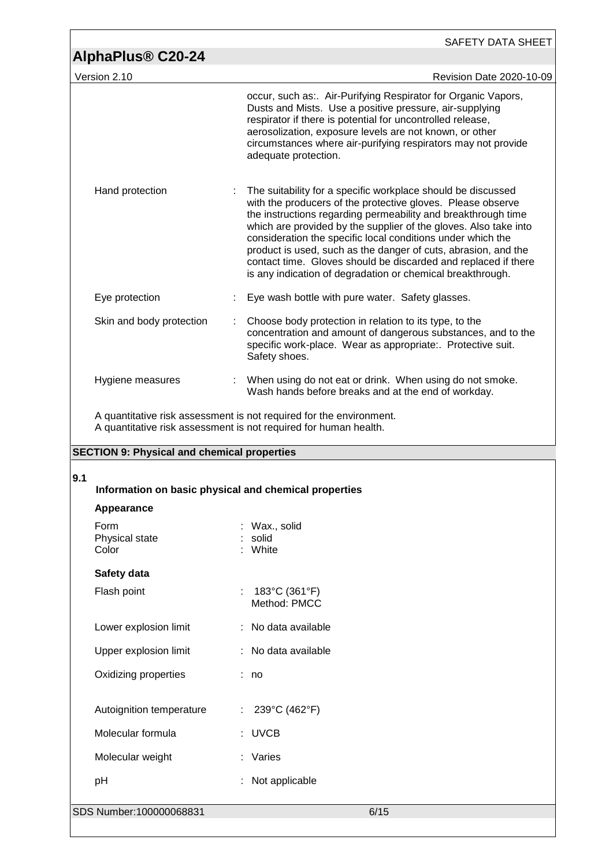|                                                    | SAFETY DATA SHEET                                                                                                                                                                                                                                                                                                                                                                                                                                                                                                                 |
|----------------------------------------------------|-----------------------------------------------------------------------------------------------------------------------------------------------------------------------------------------------------------------------------------------------------------------------------------------------------------------------------------------------------------------------------------------------------------------------------------------------------------------------------------------------------------------------------------|
| AlphaPlus <sup>®</sup> C20-24                      |                                                                                                                                                                                                                                                                                                                                                                                                                                                                                                                                   |
| Version 2.10                                       | Revision Date 2020-10-09                                                                                                                                                                                                                                                                                                                                                                                                                                                                                                          |
|                                                    | occur, such as: Air-Purifying Respirator for Organic Vapors,<br>Dusts and Mists. Use a positive pressure, air-supplying<br>respirator if there is potential for uncontrolled release,<br>aerosolization, exposure levels are not known, or other<br>circumstances where air-purifying respirators may not provide<br>adequate protection.                                                                                                                                                                                         |
| Hand protection                                    | The suitability for a specific workplace should be discussed<br>with the producers of the protective gloves. Please observe<br>the instructions regarding permeability and breakthrough time<br>which are provided by the supplier of the gloves. Also take into<br>consideration the specific local conditions under which the<br>product is used, such as the danger of cuts, abrasion, and the<br>contact time. Gloves should be discarded and replaced if there<br>is any indication of degradation or chemical breakthrough. |
| Eye protection                                     | Eye wash bottle with pure water. Safety glasses.                                                                                                                                                                                                                                                                                                                                                                                                                                                                                  |
| Skin and body protection                           | Choose body protection in relation to its type, to the<br>concentration and amount of dangerous substances, and to the<br>specific work-place. Wear as appropriate:. Protective suit.<br>Safety shoes.                                                                                                                                                                                                                                                                                                                            |
| Hygiene measures                                   | : When using do not eat or drink. When using do not smoke.<br>Wash hands before breaks and at the end of workday.                                                                                                                                                                                                                                                                                                                                                                                                                 |
| <b>SECTION 9: Physical and chemical properties</b> | A quantitative risk assessment is not required for the environment.<br>A quantitative risk assessment is not required for human health.                                                                                                                                                                                                                                                                                                                                                                                           |
| 9.1                                                | Information on basic physical and chemical properties                                                                                                                                                                                                                                                                                                                                                                                                                                                                             |
| Appearance                                         |                                                                                                                                                                                                                                                                                                                                                                                                                                                                                                                                   |
| Form<br>Physical state<br>Color                    | Wax., solid<br>solid<br>White                                                                                                                                                                                                                                                                                                                                                                                                                                                                                                     |
| Safety data                                        |                                                                                                                                                                                                                                                                                                                                                                                                                                                                                                                                   |
| Flash point                                        | 183°C (361°F)<br>Method: PMCC                                                                                                                                                                                                                                                                                                                                                                                                                                                                                                     |
| Lower explosion limit                              | No data available                                                                                                                                                                                                                                                                                                                                                                                                                                                                                                                 |
| Upper explosion limit                              | No data available                                                                                                                                                                                                                                                                                                                                                                                                                                                                                                                 |
| Oxidizing properties                               | : no                                                                                                                                                                                                                                                                                                                                                                                                                                                                                                                              |
| Autoignition temperature                           | 239°C (462°F)                                                                                                                                                                                                                                                                                                                                                                                                                                                                                                                     |
| Molecular formula                                  | : UVCB                                                                                                                                                                                                                                                                                                                                                                                                                                                                                                                            |
| Molecular weight                                   | : Varies                                                                                                                                                                                                                                                                                                                                                                                                                                                                                                                          |
| pH                                                 | Not applicable                                                                                                                                                                                                                                                                                                                                                                                                                                                                                                                    |
| SDS Number:100000068831                            | 6/15                                                                                                                                                                                                                                                                                                                                                                                                                                                                                                                              |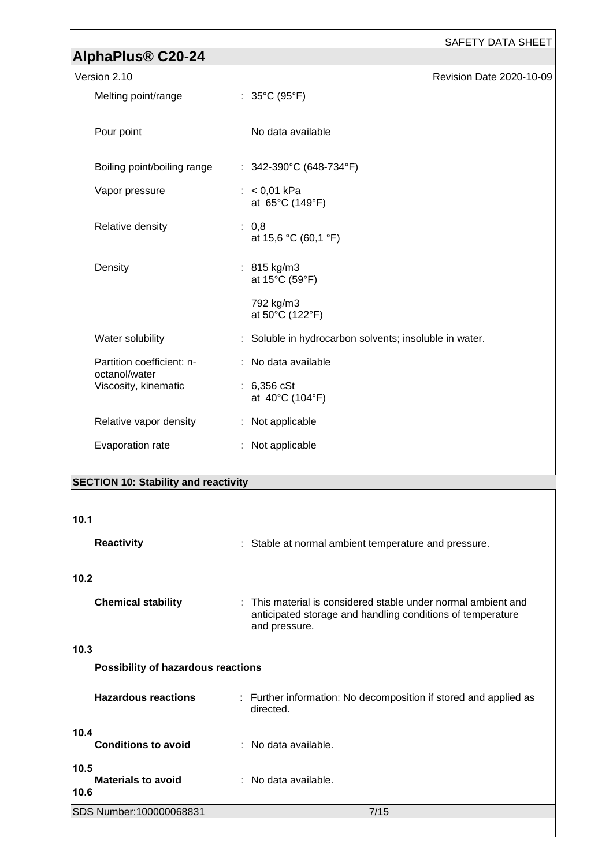| AlphaPlus <sup>®</sup> C20-24               | <b>SAFETY DATA SHEET</b>                                                                                                                   |
|---------------------------------------------|--------------------------------------------------------------------------------------------------------------------------------------------|
| Version 2.10                                | Revision Date 2020-10-09                                                                                                                   |
| Melting point/range                         | : $35^{\circ}$ C (95 $^{\circ}$ F)                                                                                                         |
|                                             |                                                                                                                                            |
| Pour point                                  | No data available                                                                                                                          |
| Boiling point/boiling range                 | : $342-390^{\circ}C(648-734^{\circ}F)$                                                                                                     |
| Vapor pressure                              | : $< 0.01$ kPa<br>at 65°C (149°F)                                                                                                          |
| Relative density                            | : 0,8<br>at 15,6 °C (60,1 °F)                                                                                                              |
| Density                                     | : $815 \text{ kg/m}3$<br>at 15°C (59°F)                                                                                                    |
|                                             | 792 kg/m3<br>at 50°C (122°F)                                                                                                               |
| Water solubility                            | : Soluble in hydrocarbon solvents; insoluble in water.                                                                                     |
| Partition coefficient: n-<br>octanol/water  | : No data available                                                                                                                        |
| Viscosity, kinematic                        | : $6,356 \text{ cSt}$<br>at 40°C (104°F)                                                                                                   |
| Relative vapor density                      | : Not applicable                                                                                                                           |
| Evaporation rate                            | : Not applicable                                                                                                                           |
| <b>SECTION 10: Stability and reactivity</b> |                                                                                                                                            |
|                                             |                                                                                                                                            |
| 10.1                                        |                                                                                                                                            |
| <b>Reactivity</b>                           | Stable at normal ambient temperature and pressure.                                                                                         |
| 10.2                                        |                                                                                                                                            |
| <b>Chemical stability</b>                   | This material is considered stable under normal ambient and<br>anticipated storage and handling conditions of temperature<br>and pressure. |
| 10.3                                        |                                                                                                                                            |
| Possibility of hazardous reactions          |                                                                                                                                            |
| <b>Hazardous reactions</b>                  | : Further information: No decomposition if stored and applied as<br>directed.                                                              |
| 10.4<br><b>Conditions to avoid</b>          | : No data available.                                                                                                                       |
| 10.5<br><b>Materials to avoid</b><br>10.6   | : No data available.                                                                                                                       |
| SDS Number:100000068831                     | 7/15                                                                                                                                       |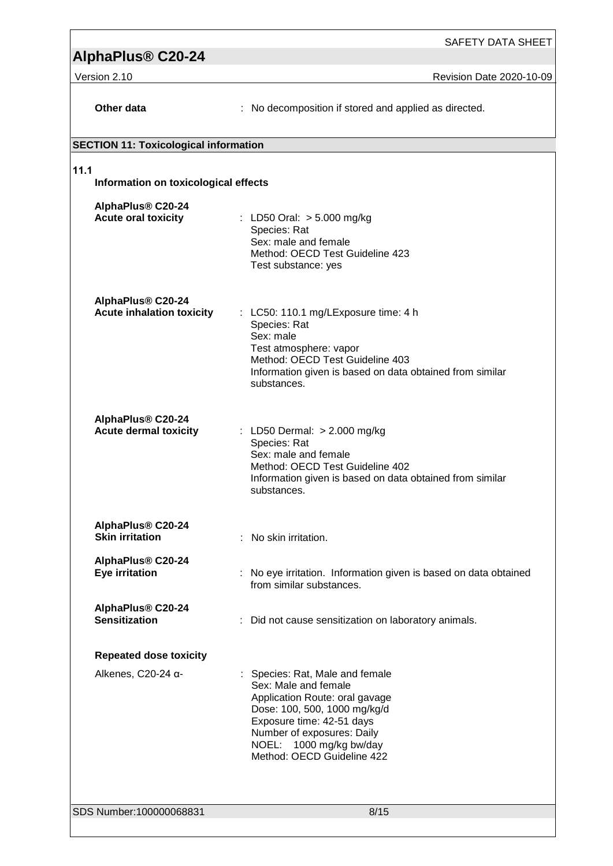# **AlphaPlus® C20-24**

Version 2.10 Revision Date 2020-10-09

| Other data                                            | : No decomposition if stored and applied as directed.                                                                                                                                                                                         |  |  |  |  |
|-------------------------------------------------------|-----------------------------------------------------------------------------------------------------------------------------------------------------------------------------------------------------------------------------------------------|--|--|--|--|
| <b>SECTION 11: Toxicological information</b>          |                                                                                                                                                                                                                                               |  |  |  |  |
| 11.1                                                  | Information on toxicological effects                                                                                                                                                                                                          |  |  |  |  |
| AlphaPlus® C20-24<br><b>Acute oral toxicity</b>       | : LD50 Oral: > 5.000 mg/kg<br>Species: Rat<br>Sex: male and female<br>Method: OECD Test Guideline 423<br>Test substance: yes                                                                                                                  |  |  |  |  |
| AlphaPlus® C20-24<br><b>Acute inhalation toxicity</b> | $\therefore$ LC50: 110.1 mg/LExposure time: 4 h<br>Species: Rat<br>Sex: male<br>Test atmosphere: vapor<br>Method: OECD Test Guideline 403<br>Information given is based on data obtained from similar<br>substances.                          |  |  |  |  |
| AlphaPlus® C20-24<br><b>Acute dermal toxicity</b>     | : LD50 Dermal: > 2.000 mg/kg<br>Species: Rat<br>Sex: male and female<br>Method: OECD Test Guideline 402<br>Information given is based on data obtained from similar<br>substances.                                                            |  |  |  |  |
| AlphaPlus® C20-24<br><b>Skin irritation</b>           | : No skin irritation.                                                                                                                                                                                                                         |  |  |  |  |
| AlphaPlus® C20-24<br><b>Eye irritation</b>            | No eye irritation. Information given is based on data obtained<br>from similar substances.                                                                                                                                                    |  |  |  |  |
| AlphaPlus® C20-24<br><b>Sensitization</b>             | : Did not cause sensitization on laboratory animals.                                                                                                                                                                                          |  |  |  |  |
| <b>Repeated dose toxicity</b>                         |                                                                                                                                                                                                                                               |  |  |  |  |
| Alkenes, C20-24 α-                                    | : Species: Rat, Male and female<br>Sex: Male and female<br>Application Route: oral gavage<br>Dose: 100, 500, 1000 mg/kg/d<br>Exposure time: 42-51 days<br>Number of exposures: Daily<br>NOEL: 1000 mg/kg bw/day<br>Method: OECD Guideline 422 |  |  |  |  |
| SDS Number:100000068831                               | 8/15                                                                                                                                                                                                                                          |  |  |  |  |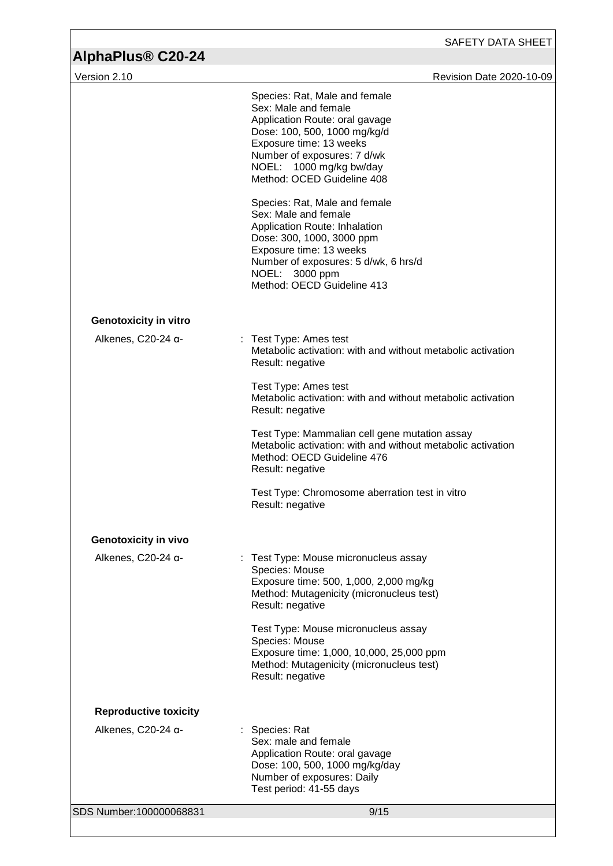| AlphaPlus <sup>®</sup> C20-24 | SAFETY DATA SHEET                                                                                                                                                                                                                          |
|-------------------------------|--------------------------------------------------------------------------------------------------------------------------------------------------------------------------------------------------------------------------------------------|
| Version 2.10                  | Revision Date 2020-10-09                                                                                                                                                                                                                   |
|                               | Species: Rat, Male and female<br>Sex: Male and female<br>Application Route: oral gavage<br>Dose: 100, 500, 1000 mg/kg/d<br>Exposure time: 13 weeks<br>Number of exposures: 7 d/wk<br>NOEL: 1000 mg/kg bw/day<br>Method: OCED Guideline 408 |
|                               | Species: Rat, Male and female<br>Sex: Male and female<br>Application Route: Inhalation<br>Dose: 300, 1000, 3000 ppm<br>Exposure time: 13 weeks<br>Number of exposures: 5 d/wk, 6 hrs/d<br>NOEL: 3000 ppm<br>Method: OECD Guideline 413     |
| <b>Genotoxicity in vitro</b>  |                                                                                                                                                                                                                                            |
| Alkenes, $C20-24$ $\alpha$ -  | Test Type: Ames test<br>Metabolic activation: with and without metabolic activation<br>Result: negative                                                                                                                                    |
|                               | Test Type: Ames test<br>Metabolic activation: with and without metabolic activation<br>Result: negative                                                                                                                                    |
|                               | Test Type: Mammalian cell gene mutation assay<br>Metabolic activation: with and without metabolic activation<br>Method: OECD Guideline 476<br>Result: negative                                                                             |
|                               | Test Type: Chromosome aberration test in vitro<br>Result: negative                                                                                                                                                                         |
| <b>Genotoxicity in vivo</b>   |                                                                                                                                                                                                                                            |
| Alkenes, C20-24 α-            | Test Type: Mouse micronucleus assay<br>Species: Mouse<br>Exposure time: 500, 1,000, 2,000 mg/kg<br>Method: Mutagenicity (micronucleus test)<br>Result: negative                                                                            |
|                               | Test Type: Mouse micronucleus assay<br>Species: Mouse<br>Exposure time: 1,000, 10,000, 25,000 ppm<br>Method: Mutagenicity (micronucleus test)<br>Result: negative                                                                          |
| <b>Reproductive toxicity</b>  |                                                                                                                                                                                                                                            |
| Alkenes, C20-24 $\alpha$ -    | : Species: Rat<br>Sex: male and female<br>Application Route: oral gavage<br>Dose: 100, 500, 1000 mg/kg/day<br>Number of exposures: Daily<br>Test period: 41-55 days                                                                        |
| SDS Number:100000068831       | 9/15                                                                                                                                                                                                                                       |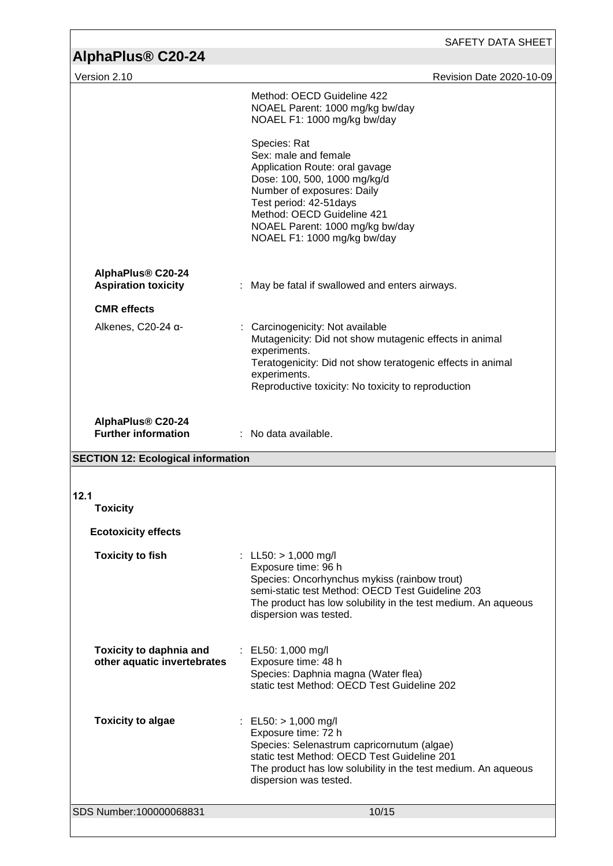| <b>AlphaPlus® C20-24</b>                                      | SAFETY DATA SHEET                                                                                                                                                                                                                                               |  |  |
|---------------------------------------------------------------|-----------------------------------------------------------------------------------------------------------------------------------------------------------------------------------------------------------------------------------------------------------------|--|--|
| Version 2.10                                                  | <b>Revision Date 2020-10-09</b>                                                                                                                                                                                                                                 |  |  |
|                                                               | Method: OECD Guideline 422<br>NOAEL Parent: 1000 mg/kg bw/day<br>NOAEL F1: 1000 mg/kg bw/day                                                                                                                                                                    |  |  |
|                                                               | Species: Rat<br>Sex: male and female<br>Application Route: oral gavage<br>Dose: 100, 500, 1000 mg/kg/d<br>Number of exposures: Daily<br>Test period: 42-51 days<br>Method: OECD Guideline 421<br>NOAEL Parent: 1000 mg/kg bw/day<br>NOAEL F1: 1000 mg/kg bw/day |  |  |
| AlphaPlus® C20-24<br><b>Aspiration toxicity</b>               | May be fatal if swallowed and enters airways.                                                                                                                                                                                                                   |  |  |
| <b>CMR</b> effects                                            |                                                                                                                                                                                                                                                                 |  |  |
| Alkenes, $C20-24$ $\alpha$ -                                  | Carcinogenicity: Not available<br>Mutagenicity: Did not show mutagenic effects in animal<br>experiments.<br>Teratogenicity: Did not show teratogenic effects in animal<br>experiments.<br>Reproductive toxicity: No toxicity to reproduction                    |  |  |
| AlphaPlus® C20-24<br><b>Further information</b>               | $\therefore$ No data available.                                                                                                                                                                                                                                 |  |  |
| <b>SECTION 12: Ecological information</b>                     |                                                                                                                                                                                                                                                                 |  |  |
|                                                               |                                                                                                                                                                                                                                                                 |  |  |
| 12.1<br><b>Toxicity</b>                                       |                                                                                                                                                                                                                                                                 |  |  |
| <b>Ecotoxicity effects</b>                                    |                                                                                                                                                                                                                                                                 |  |  |
| <b>Toxicity to fish</b>                                       | : LL50: $> 1,000$ mg/l<br>Exposure time: 96 h<br>Species: Oncorhynchus mykiss (rainbow trout)<br>semi-static test Method: OECD Test Guideline 203<br>The product has low solubility in the test medium. An aqueous<br>dispersion was tested.                    |  |  |
| <b>Toxicity to daphnia and</b><br>other aquatic invertebrates | : EL50: 1,000 mg/l<br>Exposure time: 48 h<br>Species: Daphnia magna (Water flea)<br>static test Method: OECD Test Guideline 202                                                                                                                                 |  |  |
| <b>Toxicity to algae</b>                                      | : EL50: $> 1,000$ mg/l<br>Exposure time: 72 h<br>Species: Selenastrum capricornutum (algae)<br>static test Method: OECD Test Guideline 201<br>The product has low solubility in the test medium. An aqueous<br>dispersion was tested.                           |  |  |
| SDS Number:100000068831                                       | 10/15                                                                                                                                                                                                                                                           |  |  |
|                                                               |                                                                                                                                                                                                                                                                 |  |  |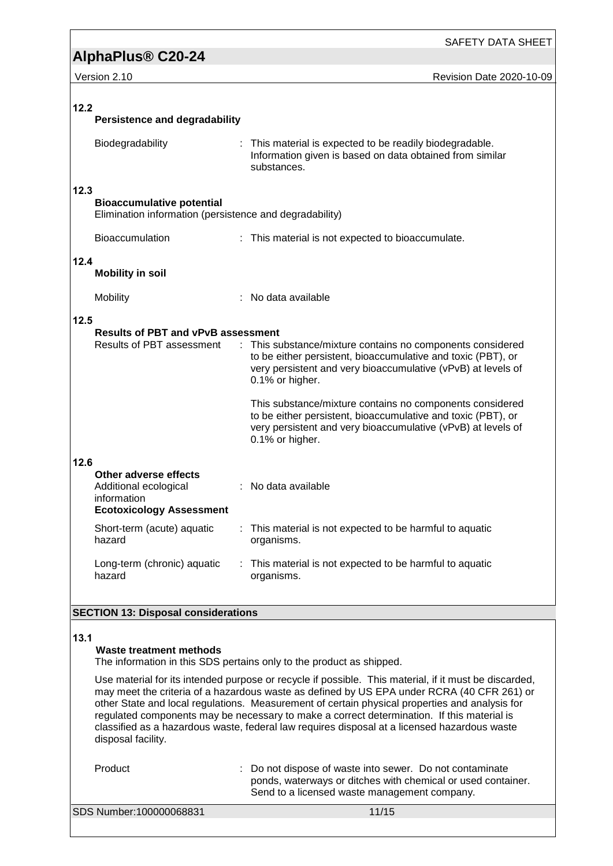# **AlphaPlus® C20-24**

SAFETY DATA SHEET

Version 2.10 **Version 2.10** Revision Date 2020-10-09

| 12.2 | <b>Persistence and degradability</b>                                                                                                                                              |                                                                                                                                                                                                                                                                                                                                                                                                                              |
|------|-----------------------------------------------------------------------------------------------------------------------------------------------------------------------------------|------------------------------------------------------------------------------------------------------------------------------------------------------------------------------------------------------------------------------------------------------------------------------------------------------------------------------------------------------------------------------------------------------------------------------|
|      | Biodegradability                                                                                                                                                                  | : This material is expected to be readily biodegradable.<br>Information given is based on data obtained from similar<br>substances.                                                                                                                                                                                                                                                                                          |
| 12.3 | <b>Bioaccumulative potential</b><br>Elimination information (persistence and degradability)                                                                                       |                                                                                                                                                                                                                                                                                                                                                                                                                              |
|      | Bioaccumulation                                                                                                                                                                   | : This material is not expected to bioaccumulate.                                                                                                                                                                                                                                                                                                                                                                            |
| 12.4 | <b>Mobility in soil</b>                                                                                                                                                           |                                                                                                                                                                                                                                                                                                                                                                                                                              |
|      | Mobility                                                                                                                                                                          | $:$ No data available                                                                                                                                                                                                                                                                                                                                                                                                        |
| 12.5 | <b>Results of PBT and vPvB assessment</b><br>Results of PBT assessment                                                                                                            | : This substance/mixture contains no components considered<br>to be either persistent, bioaccumulative and toxic (PBT), or<br>very persistent and very bioaccumulative (vPvB) at levels of<br>0.1% or higher.<br>This substance/mixture contains no components considered<br>to be either persistent, bioaccumulative and toxic (PBT), or<br>very persistent and very bioaccumulative (vPvB) at levels of<br>0.1% or higher. |
| 12.6 | Other adverse effects<br>Additional ecological<br>information<br><b>Ecotoxicology Assessment</b><br>Short-term (acute) aquatic<br>hazard<br>Long-term (chronic) aquatic<br>hazard | : No data available<br>: This material is not expected to be harmful to aquatic<br>organisms.<br>: This material is not expected to be harmful to aquatic<br>organisms.                                                                                                                                                                                                                                                      |
|      |                                                                                                                                                                                   |                                                                                                                                                                                                                                                                                                                                                                                                                              |

### **SECTION 13: Disposal considerations**

#### **13.1**

#### **Waste treatment methods**

The information in this SDS pertains only to the product as shipped.

Use material for its intended purpose or recycle if possible. This material, if it must be discarded, may meet the criteria of a hazardous waste as defined by US EPA under RCRA (40 CFR 261) or other State and local regulations. Measurement of certain physical properties and analysis for regulated components may be necessary to make a correct determination. If this material is classified as a hazardous waste, federal law requires disposal at a licensed hazardous waste disposal facility.

Product : Do not dispose of waste into sewer. Do not contaminate ponds, waterways or ditches with chemical or used container. Send to a licensed waste management company.

SDS Number:100000068831 11/15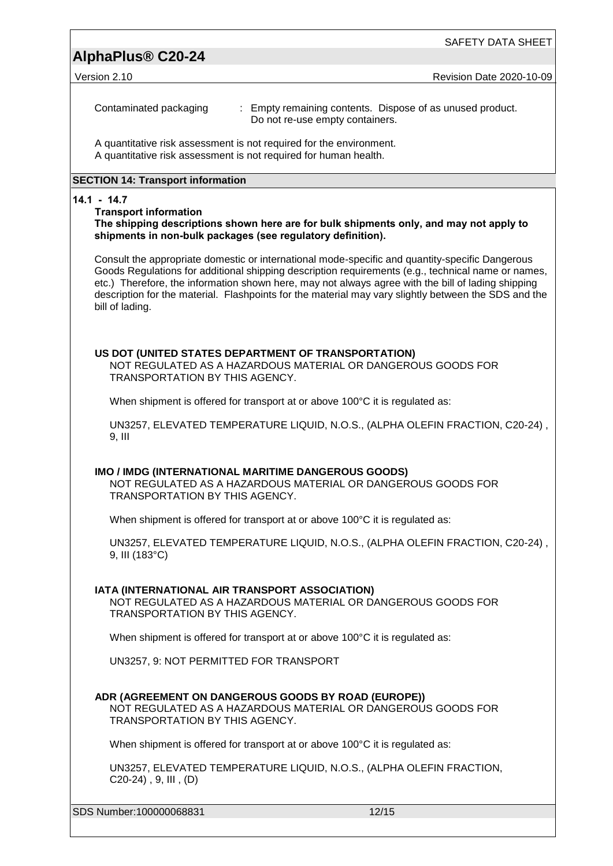## **AlphaPlus® C20-24**

Version 2.10 Revision Date 2020-10-09

Contaminated packaging : Empty remaining contents. Dispose of as unused product. Do not re-use empty containers.

A quantitative risk assessment is not required for the environment. A quantitative risk assessment is not required for human health.

#### **SECTION 14: Transport information**

#### **14.1 - 14.7**

#### **Transport information**

**The shipping descriptions shown here are for bulk shipments only, and may not apply to shipments in non-bulk packages (see regulatory definition).**

Consult the appropriate domestic or international mode-specific and quantity-specific Dangerous Goods Regulations for additional shipping description requirements (e.g., technical name or names, etc.) Therefore, the information shown here, may not always agree with the bill of lading shipping description for the material. Flashpoints for the material may vary slightly between the SDS and the bill of lading.

#### **US DOT (UNITED STATES DEPARTMENT OF TRANSPORTATION)**

NOT REGULATED AS A HAZARDOUS MATERIAL OR DANGEROUS GOODS FOR TRANSPORTATION BY THIS AGENCY.

When shipment is offered for transport at or above 100°C it is regulated as:

UN3257, ELEVATED TEMPERATURE LIQUID, N.O.S., (ALPHA OLEFIN FRACTION, C20-24) , 9, III

#### **IMO / IMDG (INTERNATIONAL MARITIME DANGEROUS GOODS)**

NOT REGULATED AS A HAZARDOUS MATERIAL OR DANGEROUS GOODS FOR TRANSPORTATION BY THIS AGENCY.

When shipment is offered for transport at or above 100<sup>o</sup>C it is regulated as:

UN3257, ELEVATED TEMPERATURE LIQUID, N.O.S., (ALPHA OLEFIN FRACTION, C20-24) , 9, III (183°C)

#### **IATA (INTERNATIONAL AIR TRANSPORT ASSOCIATION)**

NOT REGULATED AS A HAZARDOUS MATERIAL OR DANGEROUS GOODS FOR TRANSPORTATION BY THIS AGENCY.

When shipment is offered for transport at or above 100°C it is regulated as:

UN3257, 9: NOT PERMITTED FOR TRANSPORT

#### **ADR (AGREEMENT ON DANGEROUS GOODS BY ROAD (EUROPE))**

NOT REGULATED AS A HAZARDOUS MATERIAL OR DANGEROUS GOODS FOR TRANSPORTATION BY THIS AGENCY.

When shipment is offered for transport at or above 100<sup>o</sup>C it is regulated as:

UN3257, ELEVATED TEMPERATURE LIQUID, N.O.S., (ALPHA OLEFIN FRACTION, C20-24) , 9, III , (D)

SDS Number:100000068831 12/15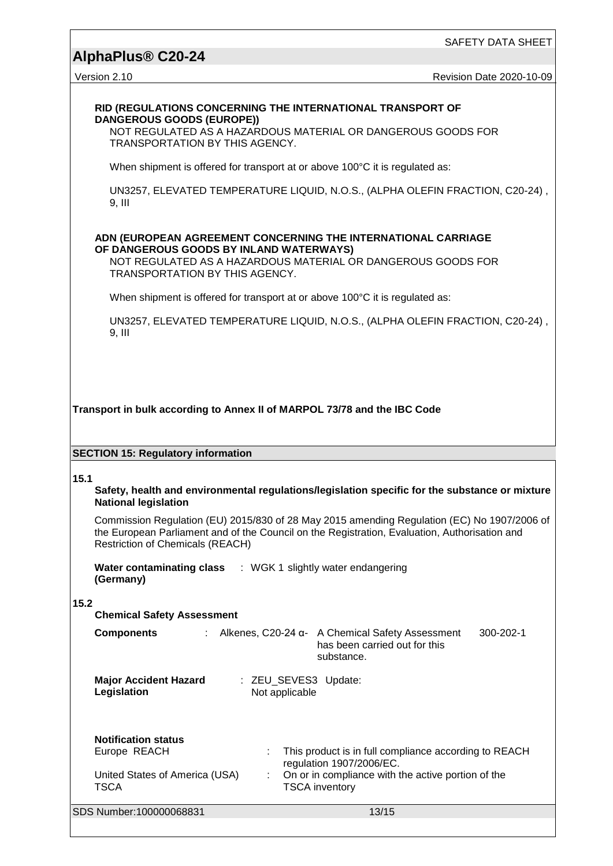# **AlphaPlus® C20-24**

Version 2.10 Revision Date 2020-10-09

#### **RID (REGULATIONS CONCERNING THE INTERNATIONAL TRANSPORT OF DANGEROUS GOODS (EUROPE))**

NOT REGULATED AS A HAZARDOUS MATERIAL OR DANGEROUS GOODS FOR TRANSPORTATION BY THIS AGENCY.

When shipment is offered for transport at or above 100°C it is regulated as:

UN3257, ELEVATED TEMPERATURE LIQUID, N.O.S., (ALPHA OLEFIN FRACTION, C20-24) , 9, III

#### **ADN (EUROPEAN AGREEMENT CONCERNING THE INTERNATIONAL CARRIAGE OF DANGEROUS GOODS BY INLAND WATERWAYS)**

NOT REGULATED AS A HAZARDOUS MATERIAL OR DANGEROUS GOODS FOR TRANSPORTATION BY THIS AGENCY.

When shipment is offered for transport at or above 100°C it is regulated as:

UN3257, ELEVATED TEMPERATURE LIQUID, N.O.S., (ALPHA OLEFIN FRACTION, C20-24) , 9, III

#### **Transport in bulk according to Annex II of MARPOL 73/78 and the IBC Code**

#### **SECTION 15: Regulatory information**

#### **15.1**

#### **Safety, health and environmental regulations/legislation specific for the substance or mixture National legislation**

Commission Regulation (EU) 2015/830 of 28 May 2015 amending Regulation (EC) No 1907/2006 of the European Parliament and of the Council on the Registration, Evaluation, Authorisation and Restriction of Chemicals (REACH)

**Water contaminating class**  : WGK 1 slightly water endangering **(Germany)**

### **15.2**

| 1 J.Z<br><b>Chemical Safety Assessment</b>                                           |                                        |                                                                                                                                                                  |           |  |  |  |  |  |  |
|--------------------------------------------------------------------------------------|----------------------------------------|------------------------------------------------------------------------------------------------------------------------------------------------------------------|-----------|--|--|--|--|--|--|
| <b>Components</b>                                                                    |                                        | : Alkenes, C20-24 α- A Chemical Safety Assessment<br>has been carried out for this<br>substance.                                                                 | 300-202-1 |  |  |  |  |  |  |
| <b>Major Accident Hazard</b><br>Legislation                                          | : ZEU SEVES3 Update:<br>Not applicable |                                                                                                                                                                  |           |  |  |  |  |  |  |
| <b>Notification status</b><br>Europe REACH<br>United States of America (USA)<br>TSCA | ÷                                      | This product is in full compliance according to REACH<br>regulation 1907/2006/EC.<br>On or in compliance with the active portion of the<br><b>TSCA inventory</b> |           |  |  |  |  |  |  |
| SDS Number:100000068831                                                              |                                        | 13/15                                                                                                                                                            |           |  |  |  |  |  |  |
|                                                                                      |                                        |                                                                                                                                                                  |           |  |  |  |  |  |  |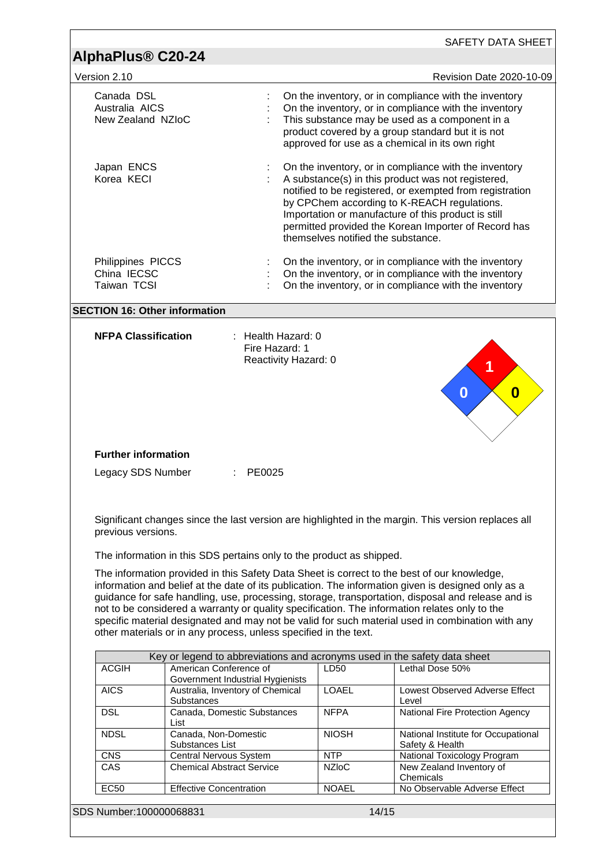| AlphaPlus <sup>®</sup> C20-24                     |                                                                  |                                                              |                                                                      |                                                                                                                                                                                                                                                                                                                                                                                                                                                                                                             |
|---------------------------------------------------|------------------------------------------------------------------|--------------------------------------------------------------|----------------------------------------------------------------------|-------------------------------------------------------------------------------------------------------------------------------------------------------------------------------------------------------------------------------------------------------------------------------------------------------------------------------------------------------------------------------------------------------------------------------------------------------------------------------------------------------------|
|                                                   |                                                                  |                                                              |                                                                      |                                                                                                                                                                                                                                                                                                                                                                                                                                                                                                             |
| Version 2.10                                      |                                                                  |                                                              |                                                                      | <b>Revision Date 2020-10-09</b>                                                                                                                                                                                                                                                                                                                                                                                                                                                                             |
| Canada DSL<br>Australia AICS<br>New Zealand NZIoC |                                                                  |                                                              |                                                                      | On the inventory, or in compliance with the inventory<br>On the inventory, or in compliance with the inventory<br>This substance may be used as a component in a<br>product covered by a group standard but it is not<br>approved for use as a chemical in its own right                                                                                                                                                                                                                                    |
| Japan ENCS<br>Korea KECI                          |                                                                  |                                                              | themselves notified the substance.                                   | On the inventory, or in compliance with the inventory<br>A substance(s) in this product was not registered,<br>notified to be registered, or exempted from registration<br>by CPChem according to K-REACH regulations.<br>Importation or manufacture of this product is still<br>permitted provided the Korean Importer of Record has                                                                                                                                                                       |
| Philippines PICCS                                 |                                                                  |                                                              |                                                                      | On the inventory, or in compliance with the inventory                                                                                                                                                                                                                                                                                                                                                                                                                                                       |
| China IECSC                                       |                                                                  |                                                              |                                                                      | On the inventory, or in compliance with the inventory                                                                                                                                                                                                                                                                                                                                                                                                                                                       |
| Taiwan TCSI                                       |                                                                  |                                                              |                                                                      | On the inventory, or in compliance with the inventory                                                                                                                                                                                                                                                                                                                                                                                                                                                       |
|                                                   |                                                                  |                                                              |                                                                      |                                                                                                                                                                                                                                                                                                                                                                                                                                                                                                             |
| <b>SECTION 16: Other information</b>              |                                                                  |                                                              |                                                                      |                                                                                                                                                                                                                                                                                                                                                                                                                                                                                                             |
| <b>NFPA Classification</b>                        |                                                                  | : Health Hazard: 0<br>Fire Hazard: 1<br>Reactivity Hazard: 0 |                                                                      | 1                                                                                                                                                                                                                                                                                                                                                                                                                                                                                                           |
| <b>Further information</b><br>Legacy SDS Number   |                                                                  | PE0025                                                       |                                                                      |                                                                                                                                                                                                                                                                                                                                                                                                                                                                                                             |
|                                                   |                                                                  |                                                              |                                                                      | Significant changes since the last version are highlighted in the margin. This version replaces all                                                                                                                                                                                                                                                                                                                                                                                                         |
|                                                   |                                                                  |                                                              |                                                                      |                                                                                                                                                                                                                                                                                                                                                                                                                                                                                                             |
| previous versions.                                |                                                                  |                                                              |                                                                      |                                                                                                                                                                                                                                                                                                                                                                                                                                                                                                             |
|                                                   |                                                                  |                                                              | The information in this SDS pertains only to the product as shipped. |                                                                                                                                                                                                                                                                                                                                                                                                                                                                                                             |
|                                                   | other materials or in any process, unless specified in the text. |                                                              |                                                                      | The information provided in this Safety Data Sheet is correct to the best of our knowledge,<br>information and belief at the date of its publication. The information given is designed only as a<br>guidance for safe handling, use, processing, storage, transportation, disposal and release and is<br>not to be considered a warranty or quality specification. The information relates only to the<br>specific material designated and may not be valid for such material used in combination with any |
|                                                   |                                                                  |                                                              |                                                                      |                                                                                                                                                                                                                                                                                                                                                                                                                                                                                                             |
| <b>ACGIH</b>                                      | American Conference of                                           |                                                              | LD50                                                                 | Key or legend to abbreviations and acronyms used in the safety data sheet<br>Lethal Dose 50%                                                                                                                                                                                                                                                                                                                                                                                                                |
|                                                   | Government Industrial Hygienists                                 |                                                              |                                                                      |                                                                                                                                                                                                                                                                                                                                                                                                                                                                                                             |
| <b>AICS</b>                                       | Australia, Inventory of Chemical                                 |                                                              | <b>LOAEL</b>                                                         | Lowest Observed Adverse Effect                                                                                                                                                                                                                                                                                                                                                                                                                                                                              |
| <b>DSL</b>                                        | Substances<br>Canada, Domestic Substances                        |                                                              | <b>NFPA</b>                                                          | Level<br>National Fire Protection Agency                                                                                                                                                                                                                                                                                                                                                                                                                                                                    |
|                                                   | List                                                             |                                                              |                                                                      |                                                                                                                                                                                                                                                                                                                                                                                                                                                                                                             |
| <b>NDSL</b>                                       | Canada, Non-Domestic                                             |                                                              | <b>NIOSH</b>                                                         | National Institute for Occupational                                                                                                                                                                                                                                                                                                                                                                                                                                                                         |
| <b>CNS</b>                                        | Substances List<br>Central Nervous System                        |                                                              | <b>NTP</b>                                                           | Safety & Health<br>National Toxicology Program                                                                                                                                                                                                                                                                                                                                                                                                                                                              |
| CAS                                               | <b>Chemical Abstract Service</b>                                 |                                                              | <b>NZIoC</b>                                                         | New Zealand Inventory of                                                                                                                                                                                                                                                                                                                                                                                                                                                                                    |
| <b>EC50</b>                                       | <b>Effective Concentration</b>                                   |                                                              | <b>NOAEL</b>                                                         | Chemicals<br>No Observable Adverse Effect                                                                                                                                                                                                                                                                                                                                                                                                                                                                   |